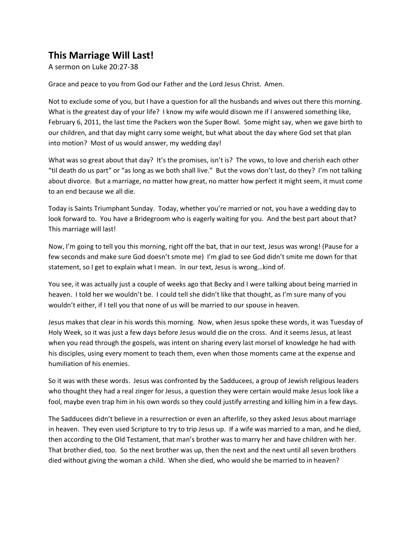## **This Marriage Will Last!**

A sermon on Luke 20:27-38

Grace and peace to you from God our Father and the Lord Jesus Christ. Amen.

Not to exclude some of you, but I have a question for all the husbands and wives out there this morning. What is the greatest day of your life? I know my wife would disown me if I answered something like, February 6, 2011, the last time the Packers won the Super Bowl. Some might say, when we gave birth to our children, and that day might carry some weight, but what about the day where God set that plan into motion? Most of us would answer, my wedding day!

What was so great about that day? It's the promises, isn't is? The vows, to love and cherish each other "til death do us part" or "as long as we both shall live." But the vows don't last, do they? I'm not talking about divorce. But a marriage, no matter how great, no matter how perfect it might seem, it must come to an end because we all die.

Today is Saints Triumphant Sunday. Today, whether you're married or not, you have a wedding day to look forward to. You have a Bridegroom who is eagerly waiting for you. And the best part about that? This marriage will last!

Now, I'm going to tell you this morning, right off the bat, that in our text, Jesus was wrong! (Pause for a few seconds and make sure God doesn't smote me) I'm glad to see God didn't smite me down for that statement, so I get to explain what I mean. In our text, Jesus is wrong…kind of.

You see, it was actually just a couple of weeks ago that Becky and I were talking about being married in heaven. I told her we wouldn't be. I could tell she didn't like that thought, as I'm sure many of you wouldn't either, if I tell you that none of us will be married to our spouse in heaven.

Jesus makes that clear in his words this morning. Now, when Jesus spoke these words, it was Tuesday of Holy Week, so it was just a few days before Jesus would die on the cross. And it seems Jesus, at least when you read through the gospels, was intent on sharing every last morsel of knowledge he had with his disciples, using every moment to teach them, even when those moments came at the expense and humiliation of his enemies.

So it was with these words. Jesus was confronted by the Sadducees, a group of Jewish religious leaders who thought they had a real zinger for Jesus, a question they were certain would make Jesus look like a fool, maybe even trap him in his own words so they could justify arresting and killing him in a few days.

The Sadducees didn't believe in a resurrection or even an afterlife, so they asked Jesus about marriage in heaven. They even used Scripture to try to trip Jesus up. If a wife was married to a man, and he died, then according to the Old Testament, that man's brother was to marry her and have children with her. That brother died, too. So the next brother was up, then the next and the next until all seven brothers died without giving the woman a child. When she died, who would she be married to in heaven?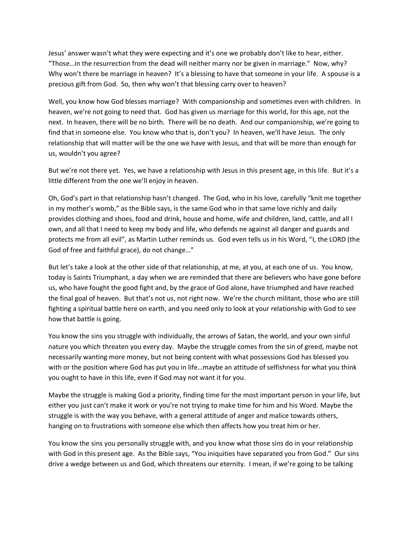Jesus' answer wasn't what they were expecting and it's one we probably don't like to hear, either. "Those…in the resurrection from the dead will neither marry nor be given in marriage." Now, why? Why won't there be marriage in heaven? It's a blessing to have that someone in your life. A spouse is a precious gift from God. So, then why won't that blessing carry over to heaven?

Well, you know how God blesses marriage? With companionship and sometimes even with children. In heaven, we're not going to need that. God has given us marriage for this world, for this age, not the next. In heaven, there will be no birth. There will be no death. And our companionship, we're going to find that in someone else. You know who that is, don't you? In heaven, we'll have Jesus. The only relationship that will matter will be the one we have with Jesus, and that will be more than enough for us, wouldn't you agree?

But we're not there yet. Yes, we have a relationship with Jesus in this present age, in this life. But it's a little different from the one we'll enjoy in heaven.

Oh, God's part in that relationship hasn't changed. The God, who in his love, carefully "knit me together in my mother's womb," as the Bible says, is the same God who in that same love richly and daily provides clothing and shoes, food and drink, house and home, wife and children, land, cattle, and all I own, and all that I need to keep my body and life, who defends ne against all danger and guards and protects me from all evil", as Martin Luther reminds us. God even tells us in his Word, "I, the LORD (the God of free and faithful grace), do not change…"

But let's take a look at the other side of that relationship, at me, at you, at each one of us. You know, today is Saints Triumphant, a day when we are reminded that there are believers who have gone before us, who have fought the good fight and, by the grace of God alone, have triumphed and have reached the final goal of heaven. But that's not us, not right now. We're the church militant, those who are still fighting a spiritual battle here on earth, and you need only to look at your relationship with God to see how that battle is going.

You know the sins you struggle with individually, the arrows of Satan, the world, and your own sinful nature you which threaten you every day. Maybe the struggle comes from the sin of greed, maybe not necessarily wanting more money, but not being content with what possessions God has blessed you with or the position where God has put you in life…maybe an attitude of selfishness for what you think you ought to have in this life, even if God may not want it for you.

Maybe the struggle is making God a priority, finding time for the most important person in your life, but either you just can't make it work or you're not trying to make time for him and his Word. Maybe the struggle is with the way you behave, with a general attitude of anger and malice towards others, hanging on to frustrations with someone else which then affects how you treat him or her.

You know the sins you personally struggle with, and you know what those sins do in your relationship with God in this present age. As the Bible says, "You iniquities have separated you from God." Our sins drive a wedge between us and God, which threatens our eternity. I mean, if we're going to be talking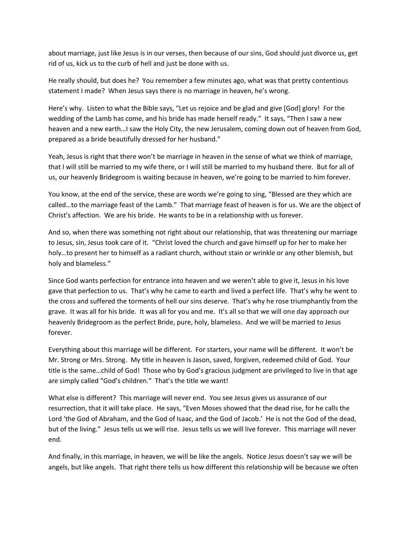about marriage, just like Jesus is in our verses, then because of our sins, God should just divorce us, get rid of us, kick us to the curb of hell and just be done with us.

He really should, but does he? You remember a few minutes ago, what was that pretty contentious statement I made? When Jesus says there is no marriage in heaven, he's wrong.

Here's why. Listen to what the Bible says, "Let us rejoice and be glad and give [God] glory! For the wedding of the Lamb has come, and his bride has made herself ready." It says, "Then I saw a new heaven and a new earth…I saw the Holy City, the new Jerusalem, coming down out of heaven from God, prepared as a bride beautifully dressed for her husband."

Yeah, Jesus is right that there won't be marriage in heaven in the sense of what we think of marriage, that I will still be married to my wife there, or I will still be married to my husband there. But for all of us, our heavenly Bridegroom is waiting because in heaven, we're going to be married to him forever.

You know, at the end of the service, these are words we're going to sing, "Blessed are they which are called…to the marriage feast of the Lamb." That marriage feast of heaven is for us. We are the object of Christ's affection. We are his bride. He wants to be in a relationship with us forever.

And so, when there was something not right about our relationship, that was threatening our marriage to Jesus, sin, Jesus took care of it. "Christ loved the church and gave himself up for her to make her holy…to present her to himself as a radiant church, without stain or wrinkle or any other blemish, but holy and blameless."

Since God wants perfection for entrance into heaven and we weren't able to give it, Jesus in his love gave that perfection to us. That's why he came to earth and lived a perfect life. That's why he went to the cross and suffered the torments of hell our sins deserve. That's why he rose triumphantly from the grave. It was all for his bride. It was all for you and me. It's all so that we will one day approach our heavenly Bridegroom as the perfect Bride, pure, holy, blameless. And we will be married to Jesus forever.

Everything about this marriage will be different. For starters, your name will be different. It won't be Mr. Strong or Mrs. Strong. My title in heaven is Jason, saved, forgiven, redeemed child of God. Your title is the same…child of God! Those who by God's gracious judgment are privileged to live in that age are simply called "God's children." That's the title we want!

What else is different? This marriage will never end. You see Jesus gives us assurance of our resurrection, that it will take place. He says, "Even Moses showed that the dead rise, for he calls the Lord 'the God of Abraham, and the God of Isaac, and the God of Jacob.' He is not the God of the dead, but of the living." Jesus tells us we will rise. Jesus tells us we will live forever. This marriage will never end.

And finally, in this marriage, in heaven, we will be like the angels. Notice Jesus doesn't say we will be angels, but like angels. That right there tells us how different this relationship will be because we often